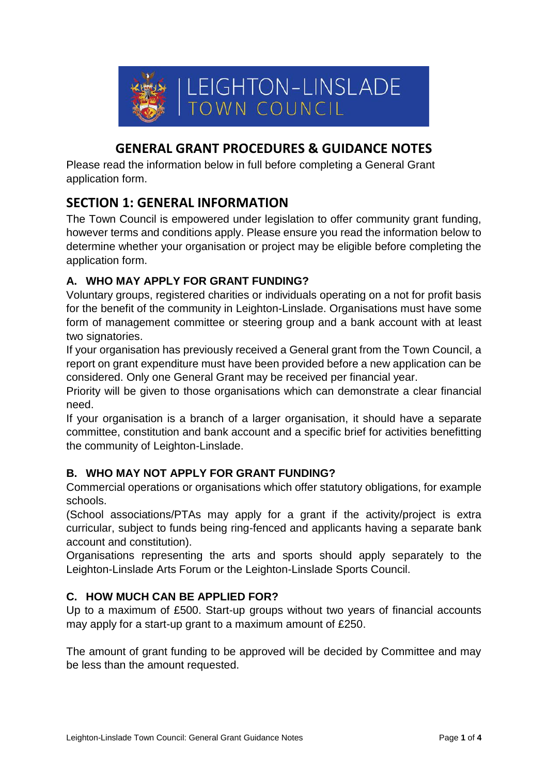

# **GENERAL GRANT PROCEDURES & GUIDANCE NOTES**

Please read the information below in full before completing a General Grant application form.

### **SECTION 1: GENERAL INFORMATION**

The Town Council is empowered under legislation to offer community grant funding, however terms and conditions apply. Please ensure you read the information below to determine whether your organisation or project may be eligible before completing the application form.

#### **A. WHO MAY APPLY FOR GRANT FUNDING?**

Voluntary groups, registered charities or individuals operating on a not for profit basis for the benefit of the community in Leighton-Linslade. Organisations must have some form of management committee or steering group and a bank account with at least two signatories.

If your organisation has previously received a General grant from the Town Council, a report on grant expenditure must have been provided before a new application can be considered. Only one General Grant may be received per financial year.

Priority will be given to those organisations which can demonstrate a clear financial need.

If your organisation is a branch of a larger organisation, it should have a separate committee, constitution and bank account and a specific brief for activities benefitting the community of Leighton-Linslade.

#### **B. WHO MAY NOT APPLY FOR GRANT FUNDING?**

Commercial operations or organisations which offer statutory obligations, for example schools.

(School associations/PTAs may apply for a grant if the activity/project is extra curricular, subject to funds being ring-fenced and applicants having a separate bank account and constitution).

Organisations representing the arts and sports should apply separately to the Leighton-Linslade Arts Forum or the Leighton-Linslade Sports Council.

#### **C. HOW MUCH CAN BE APPLIED FOR?**

Up to a maximum of £500. Start-up groups without two years of financial accounts may apply for a start-up grant to a maximum amount of £250.

The amount of grant funding to be approved will be decided by Committee and may be less than the amount requested.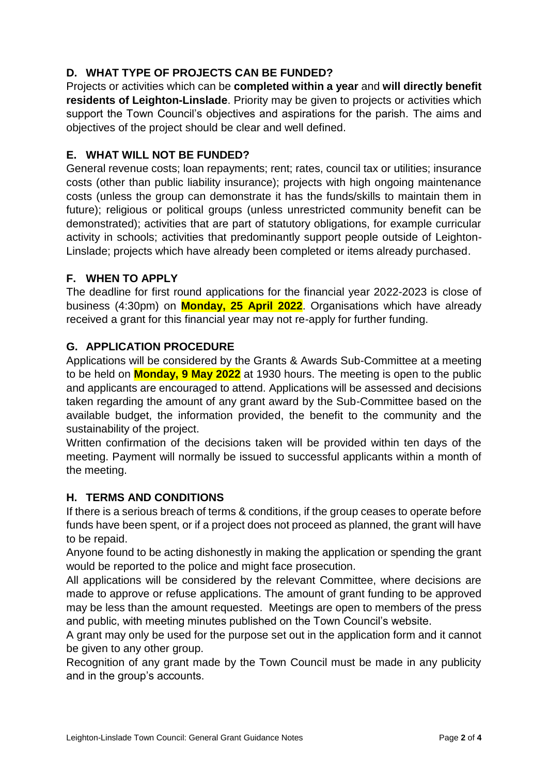### **D. WHAT TYPE OF PROJECTS CAN BE FUNDED?**

Projects or activities which can be **completed within a year** and **will directly benefit residents of Leighton-Linslade**. Priority may be given to projects or activities which support the Town Council's objectives and aspirations for the parish. The aims and objectives of the project should be clear and well defined.

#### **E. WHAT WILL NOT BE FUNDED?**

General revenue costs; loan repayments; rent; rates, council tax or utilities; insurance costs (other than public liability insurance); projects with high ongoing maintenance costs (unless the group can demonstrate it has the funds/skills to maintain them in future); religious or political groups (unless unrestricted community benefit can be demonstrated); activities that are part of statutory obligations, for example curricular activity in schools; activities that predominantly support people outside of Leighton-Linslade; projects which have already been completed or items already purchased.

#### **F. WHEN TO APPLY**

The deadline for first round applications for the financial year 2022-2023 is close of business (4:30pm) on **Monday, 25 April 2022**. Organisations which have already received a grant for this financial year may not re-apply for further funding.

#### **G. APPLICATION PROCEDURE**

Applications will be considered by the Grants & Awards Sub-Committee at a meeting to be held on **Monday, 9 May 2022** at 1930 hours. The meeting is open to the public and applicants are encouraged to attend. Applications will be assessed and decisions taken regarding the amount of any grant award by the Sub-Committee based on the available budget, the information provided, the benefit to the community and the sustainability of the project.

Written confirmation of the decisions taken will be provided within ten days of the meeting. Payment will normally be issued to successful applicants within a month of the meeting.

#### **H. TERMS AND CONDITIONS**

If there is a serious breach of terms & conditions, if the group ceases to operate before funds have been spent, or if a project does not proceed as planned, the grant will have to be repaid.

Anyone found to be acting dishonestly in making the application or spending the grant would be reported to the police and might face prosecution.

All applications will be considered by the relevant Committee, where decisions are made to approve or refuse applications. The amount of grant funding to be approved may be less than the amount requested. Meetings are open to members of the press and public, with meeting minutes published on the Town Council's website.

A grant may only be used for the purpose set out in the application form and it cannot be given to any other group.

Recognition of any grant made by the Town Council must be made in any publicity and in the group's accounts.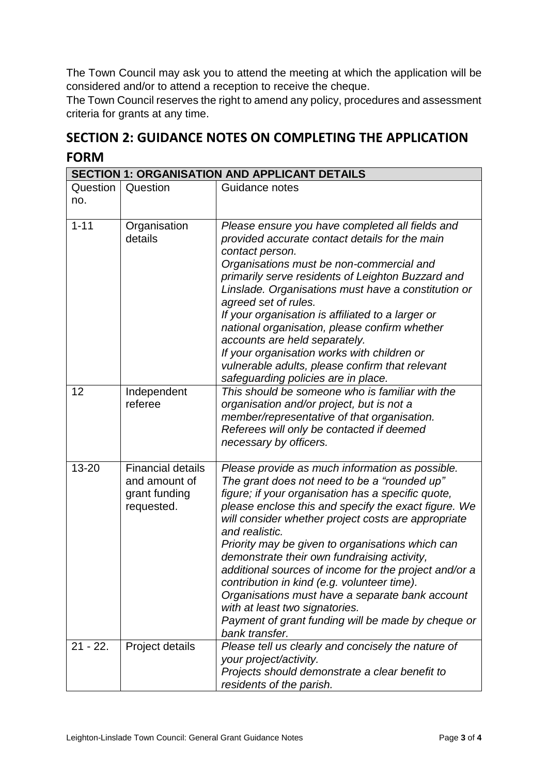The Town Council may ask you to attend the meeting at which the application will be considered and/or to attend a reception to receive the cheque.

The Town Council reserves the right to amend any policy, procedures and assessment criteria for grants at any time.

## **SECTION 2: GUIDANCE NOTES ON COMPLETING THE APPLICATION FORM**

| <b>SECTION 1: ORGANISATION AND APPLICANT DETAILS</b> |                                                                          |                                                                                                                                                                                                                                                                                                                                                                                                                                                                                                                                                                                                                                                                |  |
|------------------------------------------------------|--------------------------------------------------------------------------|----------------------------------------------------------------------------------------------------------------------------------------------------------------------------------------------------------------------------------------------------------------------------------------------------------------------------------------------------------------------------------------------------------------------------------------------------------------------------------------------------------------------------------------------------------------------------------------------------------------------------------------------------------------|--|
| Question<br>no.                                      | Question                                                                 | Guidance notes                                                                                                                                                                                                                                                                                                                                                                                                                                                                                                                                                                                                                                                 |  |
| $1 - 11$                                             | Organisation<br>details                                                  | Please ensure you have completed all fields and<br>provided accurate contact details for the main<br>contact person.<br>Organisations must be non-commercial and<br>primarily serve residents of Leighton Buzzard and<br>Linslade. Organisations must have a constitution or<br>agreed set of rules.<br>If your organisation is affiliated to a larger or<br>national organisation, please confirm whether<br>accounts are held separately.<br>If your organisation works with children or<br>vulnerable adults, please confirm that relevant<br>safeguarding policies are in place.                                                                           |  |
| 12                                                   | Independent<br>referee                                                   | This should be someone who is familiar with the<br>organisation and/or project, but is not a<br>member/representative of that organisation.<br>Referees will only be contacted if deemed<br>necessary by officers.                                                                                                                                                                                                                                                                                                                                                                                                                                             |  |
| $13 - 20$                                            | <b>Financial details</b><br>and amount of<br>grant funding<br>requested. | Please provide as much information as possible.<br>The grant does not need to be a "rounded up"<br>figure; if your organisation has a specific quote,<br>please enclose this and specify the exact figure. We<br>will consider whether project costs are appropriate<br>and realistic.<br>Priority may be given to organisations which can<br>demonstrate their own fundraising activity,<br>additional sources of income for the project and/or a<br>contribution in kind (e.g. volunteer time).<br>Organisations must have a separate bank account<br>with at least two signatories.<br>Payment of grant funding will be made by cheque or<br>bank transfer. |  |
| $21 - 22$ .                                          | Project details                                                          | Please tell us clearly and concisely the nature of<br>your project/activity.<br>Projects should demonstrate a clear benefit to<br>residents of the parish.                                                                                                                                                                                                                                                                                                                                                                                                                                                                                                     |  |